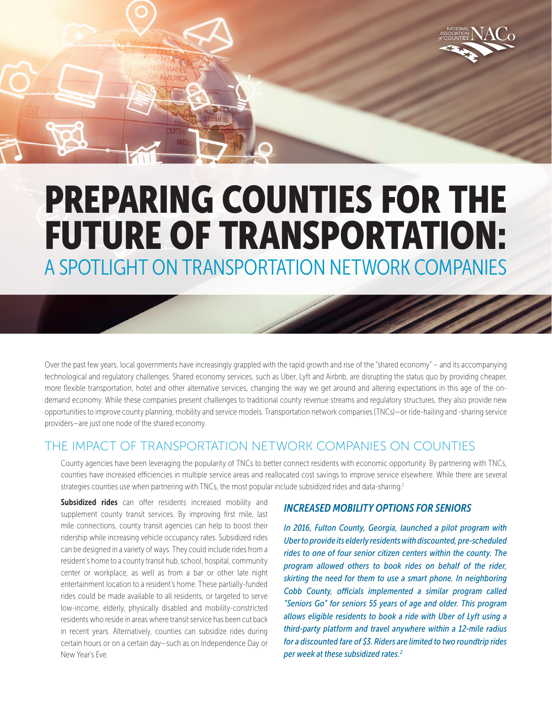

# PREPARING COUNTIES FOR THE FUTURE OF TRANSPORTATION: A SPOTLIGHT ON TRANSPORTATION NETWORK COMPANIES

Over the past few years, local governments have increasingly grappled with the rapid growth and rise of the "shared economy" – and its accompanying technological and regulatory challenges. Shared economy services, such as Uber, Lyft and Airbnb, are disrupting the status quo by providing cheaper, more flexible transportation, hotel and other alternative services, changing the way we get around and altering expectations in this age of the ondemand economy. While these companies present challenges to traditional county revenue streams and regulatory structures, they also provide new opportunities to improve county planning, mobility and service models. Transportation network companies (TNCs)—or ride-hailing and -sharing service providers—are just one node of the shared economy.

### THE IMPACT OF TRANSPORTATION NETWORK COMPANIES ON COUNTIES

County agencies have been leveraging the popularity of TNCs to better connect residents with economic opportunity. By partnering with TNCs, counties have increased efficiencies in multiple service areas and reallocated cost savings to improve service elsewhere. While there are several strategies counties use when partnering with TNCs, the most popular include subsidized rides and data-sharing.<sup>1</sup>

Subsidized rides can offer residents increased mobility and supplement county transit services. By improving first mile, last mile connections, county transit agencies can help to boost their ridership while increasing vehicle occupancy rates. Subsidized rides can be designed in a variety of ways. They could include rides from a resident's home to a county transit hub, school, hospital, community center or workplace, as well as from a bar or other late night entertainment location to a resident's home. These partially-funded rides could be made available to all residents, or targeted to serve low-income, elderly, physically disabled and mobility-constricted residents who reside in areas where transit service has been cut back in recent years. Alternatively, counties can subsidize rides during certain hours or on a certain day—such as on Independence Day or New Year's Eve.

#### *INCREASED MOBILITY OPTIONS FOR SENIORS*

*In 2016, Fulton County, Georgia, launched a pilot program with Uber to provide its elderly residents with discounted, pre-scheduled rides to one of four senior citizen centers within the county. The program allowed others to book rides on behalf of the rider, skirting the need for them to use a smart phone. In neighboring Cobb County, officials implemented a similar program called "Seniors Go" for seniors 55 years of age and older. This program allows eligible residents to book a ride with Uber of Lyft using a third-party platform and travel anywhere within a 12-mile radius for a discounted fare of \$3. Riders are limited to two roundtrip rides per week at these subsidized rates.2*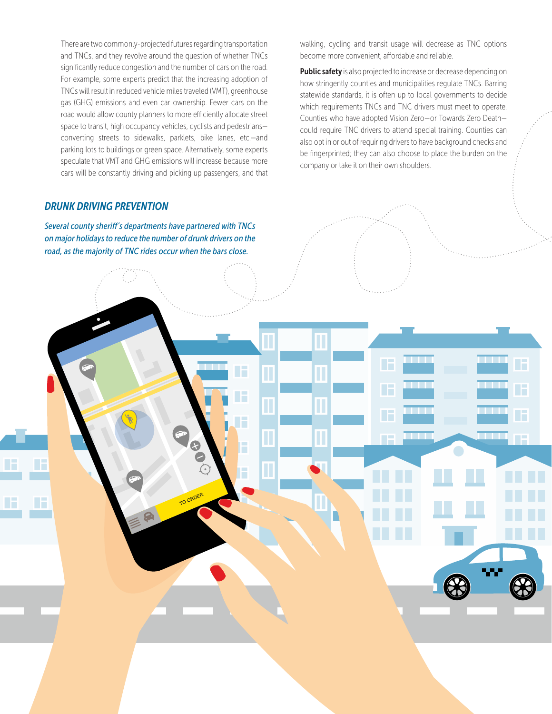There are two commonly-projected futures regarding transportation and TNCs, and they revolve around the question of whether TNCs significantly reduce congestion and the number of cars on the road. For example, some experts predict that the increasing adoption of TNCs will result in reduced vehicle miles traveled (VMT), greenhouse gas (GHG) emissions and even car ownership. Fewer cars on the road would allow county planners to more efficiently allocate street space to transit, high occupancy vehicles, cyclists and pedestrians converting streets to sidewalks, parklets, bike lanes, etc.—and parking lots to buildings or green space. Alternatively, some experts speculate that VMT and GHG emissions will increase because more cars will be constantly driving and picking up passengers, and that

#### *DRUNK DRIVING PREVENTION*

*Several county sheriff's departments have partnered with TNCs on major holidays to reduce the number of drunk drivers on the road, as the majority of TNC rides occur when the bars close.*

Т

30

walking, cycling and transit usage will decrease as TNC options become more convenient, affordable and reliable.

Public safety is also projected to increase or decrease depending on how stringently counties and municipalities regulate TNCs. Barring statewide standards, it is often up to local governments to decide which requirements TNCs and TNC drivers must meet to operate. Counties who have adopted Vision Zero—or Towards Zero Death could require TNC drivers to attend special training. Counties can also opt in or out of requiring drivers to have background checks and be fingerprinted; they can also choose to place the burden on the company or take it on their own shoulders.

F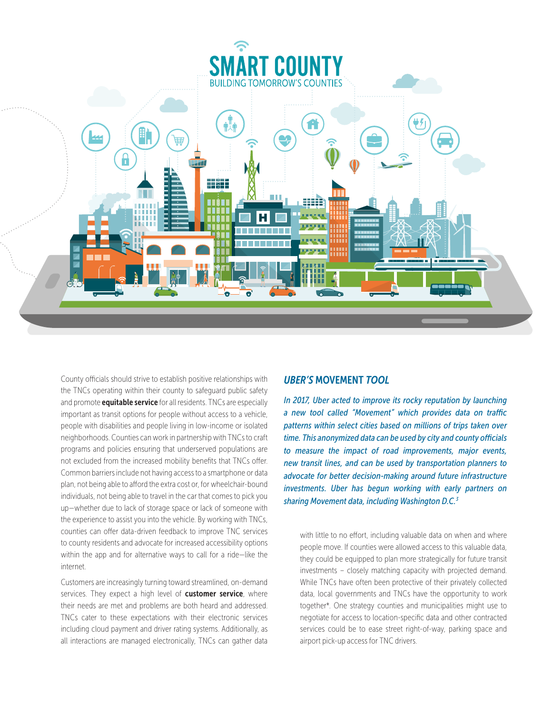

County officials should strive to establish positive relationships with the TNCs operating within their county to safeguard public safety and promote **equitable service** for all residents. TNCs are especially important as transit options for people without access to a vehicle, people with disabilities and people living in low-income or isolated neighborhoods. Counties can work in partnership with TNCs to craft programs and policies ensuring that underserved populations are not excluded from the increased mobility benefits that TNCs offer. Common barriers include not having access to a smartphone or data plan, not being able to afford the extra cost or, for wheelchair-bound individuals, not being able to travel in the car that comes to pick you up—whether due to lack of storage space or lack of someone with the experience to assist you into the vehicle. By working with TNCs, counties can offer data-driven feedback to improve TNC services to county residents and advocate for increased accessibility options within the app and for alternative ways to call for a ride—like the internet.

Customers are increasingly turning toward streamlined, on-demand services. They expect a high level of customer service, where their needs are met and problems are both heard and addressed. TNCs cater to these expectations with their electronic services including cloud payment and driver rating systems. Additionally, as all interactions are managed electronically, TNCs can gather data

#### *UBER'S* MOVEMENT *TOOL*

*In 2017, Uber acted to improve its rocky reputation by launching a new tool called "Movement" which provides data on traffic patterns within select cities based on millions of trips taken over time. This anonymized data can be used by city and county officials to measure the impact of road improvements, major events, new transit lines, and can be used by transportation planners to advocate for better decision-making around future infrastructure investments. Uber has begun working with early partners on sharing Movement data, including Washington D.C.3*

with little to no effort, including valuable data on when and where people move. If counties were allowed access to this valuable data, they could be equipped to plan more strategically for future transit investments – closely matching capacity with projected demand. While TNCs have often been protective of their privately collected data, local governments and TNCs have the opportunity to work together\*. One strategy counties and municipalities might use to negotiate for access to location-specific data and other contracted services could be to ease street right-of-way, parking space and airport pick-up access for TNC drivers.